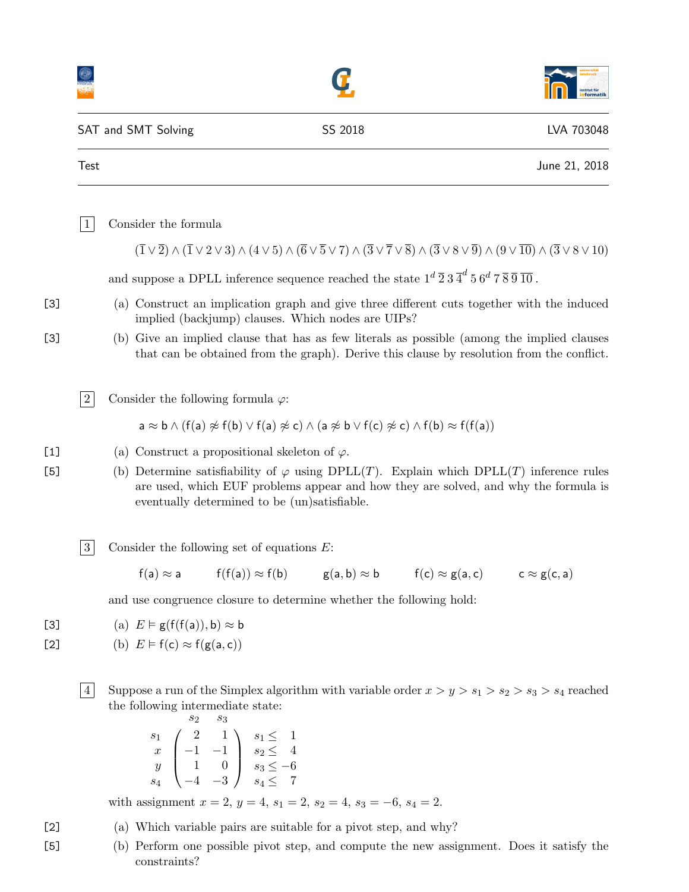|              |                |                                                                                                                                                                                                                                                                                                                                            |                                                                                                     |  | institut für<br><b>1formatik</b> |  |
|--------------|----------------|--------------------------------------------------------------------------------------------------------------------------------------------------------------------------------------------------------------------------------------------------------------------------------------------------------------------------------------------|-----------------------------------------------------------------------------------------------------|--|----------------------------------|--|
|              |                | SAT and SMT Solving                                                                                                                                                                                                                                                                                                                        | SS 2018                                                                                             |  | LVA 703048                       |  |
|              | <b>Test</b>    |                                                                                                                                                                                                                                                                                                                                            |                                                                                                     |  | June 21, 2018                    |  |
|              | $\mathbf{1}$   | Consider the formula                                                                                                                                                                                                                                                                                                                       |                                                                                                     |  |                                  |  |
|              |                | $(\overline{1}\vee\overline{2})\wedge(\overline{1}\vee2\vee3)\wedge(4\vee5)\wedge(\overline{6}\vee\overline{5}\vee7)\wedge(\overline{3}\vee\overline{7}\vee\overline{8})\wedge(\overline{3}\vee8\vee\overline{9})\wedge(9\vee\overline{10})\wedge(\overline{3}\vee8\vee10)$                                                                |                                                                                                     |  |                                  |  |
|              |                | and suppose a DPLL inference sequence reached the state $1^d \overline{2} 3 \overline{4}^d 5 6^d 7 \overline{8} \overline{9} \overline{10}$ .                                                                                                                                                                                              |                                                                                                     |  |                                  |  |
| $[3]$        |                | (a) Construct an implication graph and give three different cuts together with the induced<br>implied (backjump) clauses. Which nodes are UIPs?                                                                                                                                                                                            |                                                                                                     |  |                                  |  |
| $[3]$        |                | (b) Give an implied clause that has as few literals as possible (among the implied clauses<br>that can be obtained from the graph). Derive this clause by resolution from the conflict.                                                                                                                                                    |                                                                                                     |  |                                  |  |
|              | $\sqrt{2}$     | Consider the following formula $\varphi$ :                                                                                                                                                                                                                                                                                                 |                                                                                                     |  |                                  |  |
|              |                | $a \approx b \wedge (f(a) \not\approx f(b) \vee f(a) \not\approx c) \wedge (a \not\approx b \vee f(c) \not\approx c) \wedge f(b) \approx f(f(a))$                                                                                                                                                                                          |                                                                                                     |  |                                  |  |
| $[1]$<br>[5] |                | (a) Construct a propositional skeleton of $\varphi$ .<br>(b) Determine satisfiability of $\varphi$ using DPLL(T). Explain which DPLL(T) inference rules<br>are used, which EUF problems appear and how they are solved, and why the formula is<br>eventually determined to be (un)satisfiable.                                             |                                                                                                     |  |                                  |  |
|              | $\sqrt{3}$     | Consider the following set of equations $E$ :                                                                                                                                                                                                                                                                                              |                                                                                                     |  |                                  |  |
|              |                |                                                                                                                                                                                                                                                                                                                                            | $f(a) \approx a$ $f(f(a)) \approx f(b)$ $g(a,b) \approx b$ $f(c) \approx g(a,c)$ $c \approx g(c,a)$ |  |                                  |  |
|              |                | and use congruence closure to determine whether the following hold:                                                                                                                                                                                                                                                                        |                                                                                                     |  |                                  |  |
| [3]<br>$[2]$ |                | (a) $E \models g(f(f(a)), b) \approx b$<br>(b) $E \models f(c) \approx f(g(a, c))$                                                                                                                                                                                                                                                         |                                                                                                     |  |                                  |  |
|              | $\overline{4}$ | Suppose a run of the Simplex algorithm with variable order $x > y > s_1 > s_2 > s_3 > s_4$ reached<br>the following intermediate state:<br>$s_2$<br>$s_3$<br>$\begin{array}{c c} s_1 & 2 & 1 \\ x & -1 & -1 \\ y & 1 & 0 \\ s_2 & -3 & 0 \end{array}$ $\begin{array}{c} s_1 \leq 1 \\ s_2 \leq 4 \\ s_3 \leq -6 \\ s_4 \leq 7 \end{array}$ |                                                                                                     |  |                                  |  |
|              |                | with assignment $x = 2$ , $y = 4$ , $s_1 = 2$ , $s_2 = 4$ , $s_3 = -6$ , $s_4 = 2$ .                                                                                                                                                                                                                                                       |                                                                                                     |  |                                  |  |
| $[2]$        |                | (a) Which variable pairs are suitable for a pivot step, and why?                                                                                                                                                                                                                                                                           |                                                                                                     |  |                                  |  |

[5] (b) Perform one possible pivot step, and compute the new assignment. Does it satisfy the constraints?